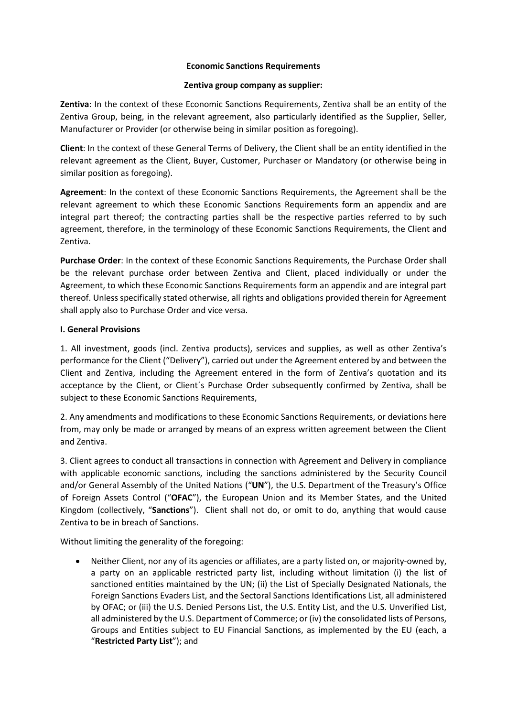#### Economic Sanctions Requirements

#### Zentiva group company as supplier:

Zentiva: In the context of these Economic Sanctions Requirements, Zentiva shall be an entity of the Zentiva Group, being, in the relevant agreement, also particularly identified as the Supplier, Seller, Manufacturer or Provider (or otherwise being in similar position as foregoing).

Client: In the context of these General Terms of Delivery, the Client shall be an entity identified in the relevant agreement as the Client, Buyer, Customer, Purchaser or Mandatory (or otherwise being in similar position as foregoing).

Agreement: In the context of these Economic Sanctions Requirements, the Agreement shall be the relevant agreement to which these Economic Sanctions Requirements form an appendix and are integral part thereof; the contracting parties shall be the respective parties referred to by such agreement, therefore, in the terminology of these Economic Sanctions Requirements, the Client and Zentiva.

Purchase Order: In the context of these Economic Sanctions Requirements, the Purchase Order shall be the relevant purchase order between Zentiva and Client, placed individually or under the Agreement, to which these Economic Sanctions Requirements form an appendix and are integral part thereof. Unless specifically stated otherwise, all rights and obligations provided therein for Agreement shall apply also to Purchase Order and vice versa.

## I. General Provisions

1. All investment, goods (incl. Zentiva products), services and supplies, as well as other Zentiva's performance for the Client ("Delivery"), carried out under the Agreement entered by and between the Client and Zentiva, including the Agreement entered in the form of Zentiva's quotation and its acceptance by the Client, or Client´s Purchase Order subsequently confirmed by Zentiva, shall be subject to these Economic Sanctions Requirements,

2. Any amendments and modifications to these Economic Sanctions Requirements, or deviations here from, may only be made or arranged by means of an express written agreement between the Client and Zentiva.

3. Client agrees to conduct all transactions in connection with Agreement and Delivery in compliance with applicable economic sanctions, including the sanctions administered by the Security Council and/or General Assembly of the United Nations ("UN"), the U.S. Department of the Treasury's Office of Foreign Assets Control ("OFAC"), the European Union and its Member States, and the United Kingdom (collectively, "Sanctions"). Client shall not do, or omit to do, anything that would cause Zentiva to be in breach of Sanctions.

Without limiting the generality of the foregoing:

 Neither Client, nor any of its agencies or affiliates, are a party listed on, or majority-owned by, a party on an applicable restricted party list, including without limitation (i) the list of sanctioned entities maintained by the UN; (ii) the List of Specially Designated Nationals, the Foreign Sanctions Evaders List, and the Sectoral Sanctions Identifications List, all administered by OFAC; or (iii) the U.S. Denied Persons List, the U.S. Entity List, and the U.S. Unverified List, all administered by the U.S. Department of Commerce; or (iv) the consolidated lists of Persons, Groups and Entities subject to EU Financial Sanctions, as implemented by the EU (each, a "Restricted Party List"); and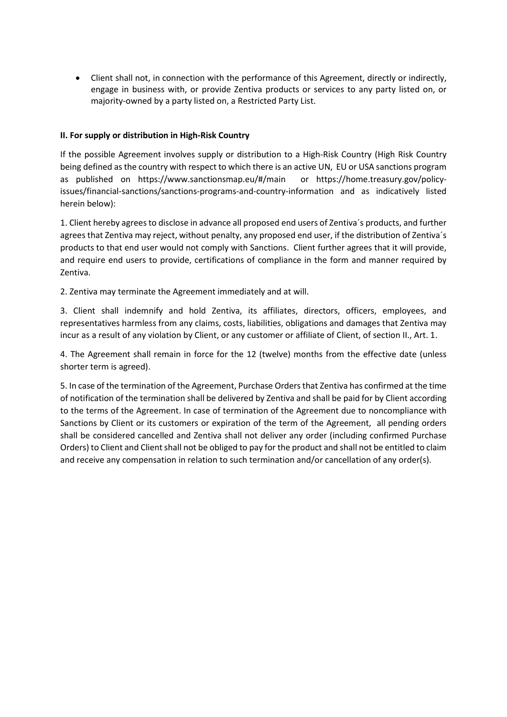Client shall not, in connection with the performance of this Agreement, directly or indirectly, engage in business with, or provide Zentiva products or services to any party listed on, or majority-owned by a party listed on, a Restricted Party List.

## II. For supply or distribution in High-Risk Country

If the possible Agreement involves supply or distribution to a High-Risk Country (High Risk Country being defined as the country with respect to which there is an active UN, EU or USA sanctions program as published on https://www.sanctionsmap.eu/#/main or https://home.treasury.gov/policyissues/financial-sanctions/sanctions-programs-and-country-information and as indicatively listed herein below):

1. Client hereby agrees to disclose in advance all proposed end users of Zentiva´s products, and further agrees that Zentiva may reject, without penalty, any proposed end user, if the distribution of Zentiva´s products to that end user would not comply with Sanctions. Client further agrees that it will provide, and require end users to provide, certifications of compliance in the form and manner required by Zentiva.

2. Zentiva may terminate the Agreement immediately and at will.

3. Client shall indemnify and hold Zentiva, its affiliates, directors, officers, employees, and representatives harmless from any claims, costs, liabilities, obligations and damages that Zentiva may incur as a result of any violation by Client, or any customer or affiliate of Client, of section II., Art. 1.

4. The Agreement shall remain in force for the 12 (twelve) months from the effective date (unless shorter term is agreed).

5. In case of the termination of the Agreement, Purchase Orders that Zentiva has confirmed at the time of notification of the termination shall be delivered by Zentiva and shall be paid for by Client according to the terms of the Agreement. In case of termination of the Agreement due to noncompliance with Sanctions by Client or its customers or expiration of the term of the Agreement, all pending orders shall be considered cancelled and Zentiva shall not deliver any order (including confirmed Purchase Orders) to Client and Client shall not be obliged to pay for the product and shall not be entitled to claim and receive any compensation in relation to such termination and/or cancellation of any order(s).